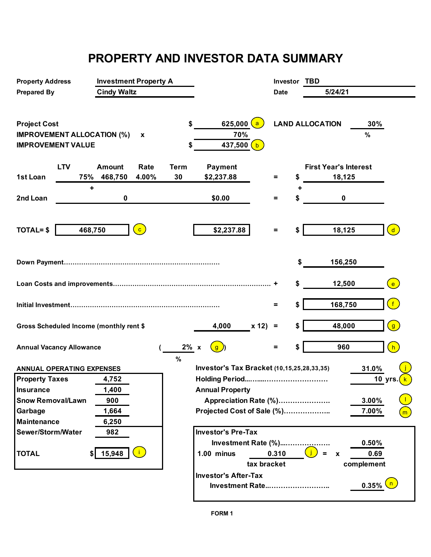#### **PROPERTY AND INVESTOR DATA SUMMARY**

| <b>Property Address</b>                                                              | <b>Investment Property A</b>              |                   |                                                | <b>Investor TBD</b> |                                                         |
|--------------------------------------------------------------------------------------|-------------------------------------------|-------------------|------------------------------------------------|---------------------|---------------------------------------------------------|
| <b>Prepared By</b>                                                                   | <b>Cindy Waltz</b>                        |                   |                                                | <b>Date</b>         | 5/24/21                                                 |
| <b>Project Cost</b><br><b>IMPROVEMENT ALLOCATION (%)</b><br><b>IMPROVEMENT VALUE</b> | $\boldsymbol{\mathsf{x}}$                 |                   | 625,000<br>a<br>70%<br>437,500<br>b            |                     | <b>LAND ALLOCATION</b><br>30%<br>$\%$                   |
| <b>LTV</b><br>1st Loan<br>75%<br>٠                                                   | <b>Amount</b><br>Rate<br>468,750<br>4.00% | <b>Term</b><br>30 | <b>Payment</b><br>\$2,237.88                   | \$<br>=             | <b>First Year's Interest</b><br>18,125                  |
| 2nd Loan                                                                             | $\mathbf 0$                               |                   | \$0.00                                         |                     | $\bf{0}$                                                |
| <b>TOTAL=\$</b><br>468,750                                                           | $\overline{c}$                            |                   | \$2,237.88                                     |                     | (d)<br>18,125                                           |
|                                                                                      |                                           |                   |                                                |                     | \$<br>156,250                                           |
|                                                                                      |                                           |                   |                                                | S                   | 12,500<br>$\mathbf{e}$                                  |
|                                                                                      |                                           |                   |                                                | Ξ                   | 168,750                                                 |
| Gross Scheduled Income (monthly rent \$                                              |                                           |                   | 4,000<br>x 12                                  | S<br>$\equiv$       | 48,000<br>$\left(\begin{array}{c} 9 \end{array}\right)$ |
| <b>Annual Vacancy Allowance</b>                                                      |                                           | $2\%$ x<br>$\%$   | $\mathbf{g}$                                   | =                   | 960<br>(h)                                              |
| <b>ANNUAL OPERATING EXPENSES</b>                                                     |                                           |                   | Investor's Tax Bracket (10,15,25,28,33,35)     |                     | 31.0%                                                   |
| <b>Property Taxes</b>                                                                | 4,752                                     |                   |                                                |                     | 10 yrs                                                  |
| Insurance                                                                            | 1,400                                     |                   | <b>Annual Property</b>                         |                     |                                                         |
| <b>Snow Removal/Lawn</b>                                                             | 900                                       |                   | Appreciation Rate (%)                          |                     | 3.00%                                                   |
| Garbage                                                                              | 1,664                                     |                   | Projected Cost of Sale (%)                     |                     | 7.00%<br>m.                                             |
| <b>Maintenance</b><br>Sewer/Storm/Water                                              | 6,250<br>982                              |                   | <b>Investor's Pre-Tax</b>                      |                     |                                                         |
| <b>TOTAL</b><br>\$l                                                                  | 15,948                                    |                   | $1.00$ minus<br>tax bracket                    | 0.310               | 0.50%<br>0.69<br>=<br>$\mathbf{x}$<br>complement        |
|                                                                                      |                                           |                   | <b>Investor's After-Tax</b><br>Investment Rate |                     | 0.35%                                                   |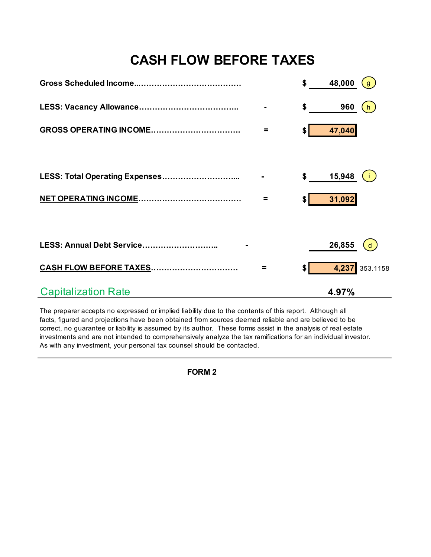# **CASH FLOW BEFORE TAXES**

|                            |          | 48,000<br>\$            |
|----------------------------|----------|-------------------------|
|                            |          | 960<br>\$<br>h.         |
| GROSS OPERATING INCOME     | $\equiv$ | 47,040<br>\$            |
|                            |          |                         |
|                            |          | \$<br>15,948            |
|                            | $\equiv$ | \$<br>31,092            |
|                            |          |                         |
| LESS: Annual Debt Service  |          | 26,855<br>d             |
|                            |          | \$<br>4,237<br>353.1158 |
| <b>Capitalization Rate</b> |          | 4.97%                   |

The preparer accepts no expressed or implied liability due to the contents of this report. Although all facts, figured and projections have been obtained from sources deemed reliable and are believed to be correct, no guarantee or liability is assumed by its author. These forms assist in the analysis of real estate investments and are not intended to comprehensively analyze the tax ramifications for an individual investor. As with any investment, your personal tax counsel should be contacted.

**FORM 2**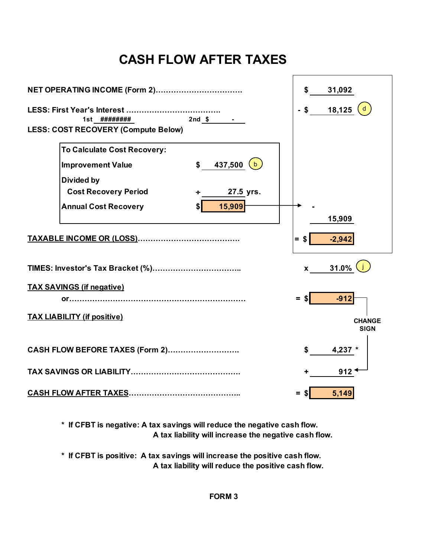## **CASH FLOW AFTER TAXES**

|                                                           | \$                    |
|-----------------------------------------------------------|-----------------------|
| <b>NET OPERATING INCOME (Form 2)</b>                      | 31,092                |
| LESS: First Year's Interest                               | 18,125<br>$-$ \$      |
| $2nd \quad $$<br>1st ########                             |                       |
| <b>LESS: COST RECOVERY (Compute Below)</b>                |                       |
| To Calculate Cost Recovery:                               |                       |
| 437,500 $(b)$<br>$\mathsf{s}$<br><b>Improvement Value</b> |                       |
| <b>Divided by</b>                                         |                       |
| <b>Cost Recovery Period</b><br>27.5 yrs.                  |                       |
| <b>Annual Cost Recovery</b><br>15,909                     |                       |
|                                                           | 15,909                |
|                                                           |                       |
|                                                           | $-2,942$<br>$=$ \$    |
|                                                           | 31.0%<br>$\mathbf{x}$ |
|                                                           |                       |
| <b>TAX SAVINGS (if negative)</b>                          |                       |
|                                                           | $-912$<br>$=$ \$      |
| <b>TAX LIABILITY (if positive)</b>                        | <b>CHANGE</b>         |
|                                                           | <b>SIGN</b>           |
|                                                           |                       |
| CASH FLOW BEFORE TAXES (Form 2)                           | \$<br>4,237 $*$       |
|                                                           | 912                   |
|                                                           | 5,149                 |

**\* If CFBT is negative: A tax savings will reduce the negative cash flow. A tax liability will increase the negative cash flow.**

**\* If CFBT is positive: A tax savings will increase the positive cash flow. A tax liability will reduce the positive cash flow.**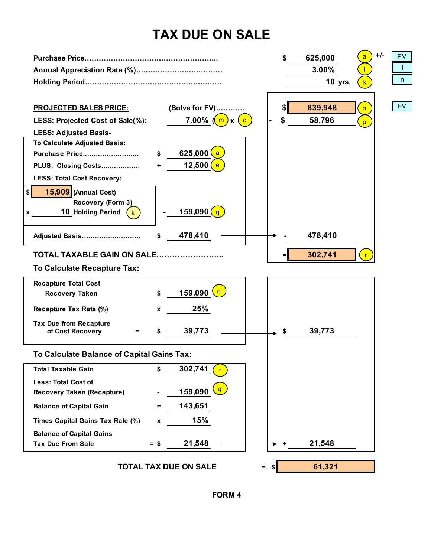## **TAX DUE ON SALE**



**FORM 4**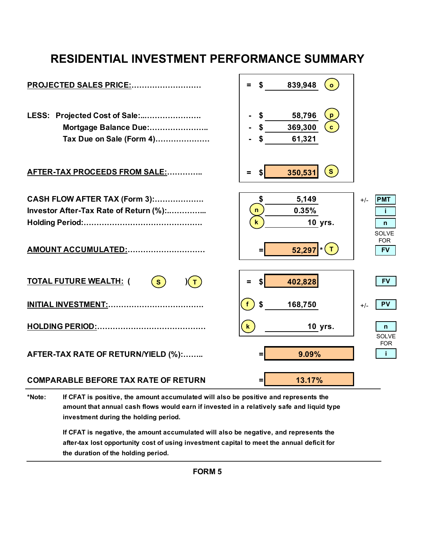### **RESIDENTIAL INVESTMENT PERFORMANCE SUMMARY**



**\*Note: If CFAT is positive, the amount accumulated will also be positive and represents the amount that annual cash flows would earn if invested in a relatively safe and liquid type investment during the holding period.**

> **If CFAT is negative, the amount accumulated will also be negative, and represents the after-tax lost opportunity cost of using investment capital to meet the annual deficit for the duration of the holding period.**